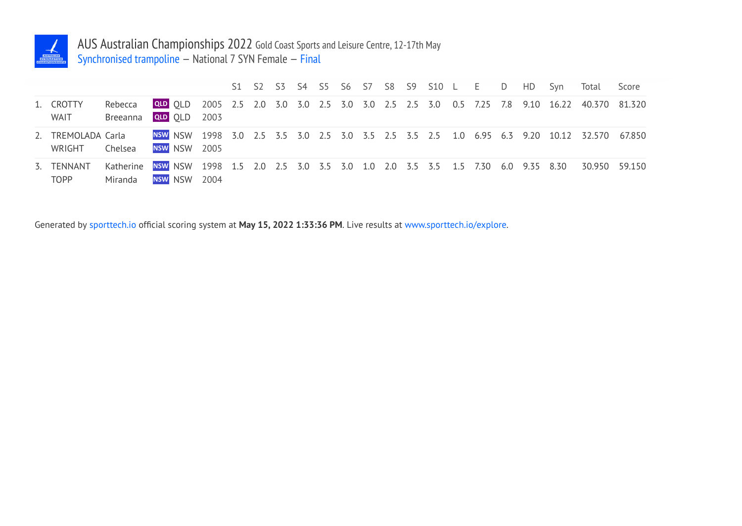

## AUS Australian Championships 2022 Gold Coast Sports and Leisure Centre, 12-17th May Synchronised trampoline — National 7 SYN Female — Final

|                              |                      |                                       |                                                                             |  |  |  |  |  | S1 S2 S3 S4 S5 S6 S7 S8 S9 S10 L E D | HD. | <b>Svn</b>                                                           | Total                                                                              | Score         |
|------------------------------|----------------------|---------------------------------------|-----------------------------------------------------------------------------|--|--|--|--|--|--------------------------------------|-----|----------------------------------------------------------------------|------------------------------------------------------------------------------------|---------------|
| 1. CROTTY<br>WAIT            | Rebecca<br>Breeanna  | QLD OLD<br>QLD OLD                    | 2003                                                                        |  |  |  |  |  |                                      |     | 2005 2.5 2.0 3.0 3.0 2.5 3.0 3.0 2.5 2.5 3.0 0.5 7.25 7.8 9.10 16.22 |                                                                                    | 40.370 81.320 |
| 2. TREMOLADA Carla<br>WRIGHT | Chelsea              | <b>NSW</b> NSW<br><b>NSW NSW 2005</b> |                                                                             |  |  |  |  |  |                                      |     |                                                                      | 1998 3.0 2.5 3.5 3.0 2.5 3.0 3.5 2.5 3.5 2.5 1.0 6.95 6.3 9.20 10.12 32.570 67.850 |               |
| 3. TFNNANT<br><b>TOPP</b>    | Katherine<br>Miranda | <b>NSW NSW</b><br><b>NSW NSW</b>      | 1998 1.5 2.0 2.5 3.0 3.5 3.0 1.0 2.0 3.5 3.5 1.5 7.30 6.0 9.35 8.30<br>2004 |  |  |  |  |  |                                      |     |                                                                      |                                                                                    | 30.950 59.150 |

Generated by sporttech.io official scoring system at **May 15, 2022 1:33:36 PM**. Live results at www.sporttech.io/explore.